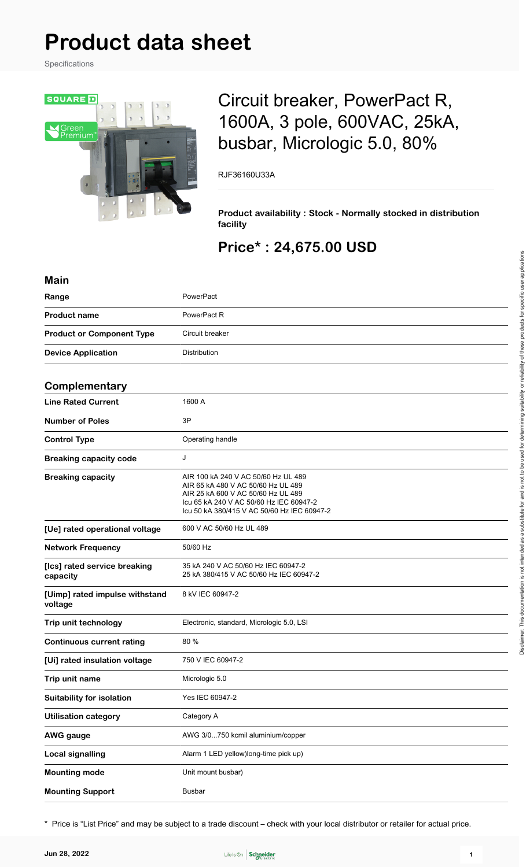# **Product data sheet**

Specifications



## Circuit breaker, PowerPact R, 1600A, 3 pole, 600VAC, 25kA, busbar, Micrologic 5.0, 80%

RJF36160U33A

**Product availability : Stock - Normally stocked in distribution facility**

## **Price\* : 24,675.00 USD**

| <b>Main</b>                               |                                                                                                                                                                                                           |
|-------------------------------------------|-----------------------------------------------------------------------------------------------------------------------------------------------------------------------------------------------------------|
| Range                                     | PowerPact                                                                                                                                                                                                 |
| <b>Product name</b>                       | PowerPact R                                                                                                                                                                                               |
| <b>Product or Component Type</b>          | Circuit breaker                                                                                                                                                                                           |
| <b>Device Application</b>                 | Distribution                                                                                                                                                                                              |
| Complementary                             |                                                                                                                                                                                                           |
| <b>Line Rated Current</b>                 | 1600 A                                                                                                                                                                                                    |
|                                           |                                                                                                                                                                                                           |
| <b>Number of Poles</b>                    | 3P                                                                                                                                                                                                        |
| <b>Control Type</b>                       | Operating handle                                                                                                                                                                                          |
| <b>Breaking capacity code</b>             | J                                                                                                                                                                                                         |
| <b>Breaking capacity</b>                  | AIR 100 kA 240 V AC 50/60 Hz UL 489<br>AIR 65 kA 480 V AC 50/60 Hz UL 489<br>AIR 25 kA 600 V AC 50/60 Hz UL 489<br>Icu 65 kA 240 V AC 50/60 Hz IEC 60947-2<br>Icu 50 kA 380/415 V AC 50/60 Hz IEC 60947-2 |
| [Ue] rated operational voltage            | 600 V AC 50/60 Hz UL 489                                                                                                                                                                                  |
| <b>Network Frequency</b>                  | 50/60 Hz                                                                                                                                                                                                  |
| [Ics] rated service breaking<br>capacity  | 35 kA 240 V AC 50/60 Hz IEC 60947-2<br>25 kA 380/415 V AC 50/60 Hz IEC 60947-2                                                                                                                            |
| [Uimp] rated impulse withstand<br>voltage | 8 kV IEC 60947-2                                                                                                                                                                                          |
| Trip unit technology                      | Electronic, standard, Micrologic 5.0, LSI                                                                                                                                                                 |
| <b>Continuous current rating</b>          | 80 %                                                                                                                                                                                                      |
| [Ui] rated insulation voltage             | 750 V IEC 60947-2                                                                                                                                                                                         |
| Trip unit name                            | Micrologic 5.0                                                                                                                                                                                            |
| <b>Suitability for isolation</b>          | Yes IEC 60947-2                                                                                                                                                                                           |
| <b>Utilisation category</b>               | Category A                                                                                                                                                                                                |
| <b>AWG</b> gauge                          | AWG 3/0750 kcmil aluminium/copper                                                                                                                                                                         |
| <b>Local signalling</b>                   | Alarm 1 LED yellow)long-time pick up)                                                                                                                                                                     |
| <b>Mounting mode</b>                      | Unit mount busbar)                                                                                                                                                                                        |
| <b>Mounting Support</b>                   | <b>Busbar</b>                                                                                                                                                                                             |

\* Price is "List Price" and may be subject to a trade discount – check with your local distributor or retailer for actual price.

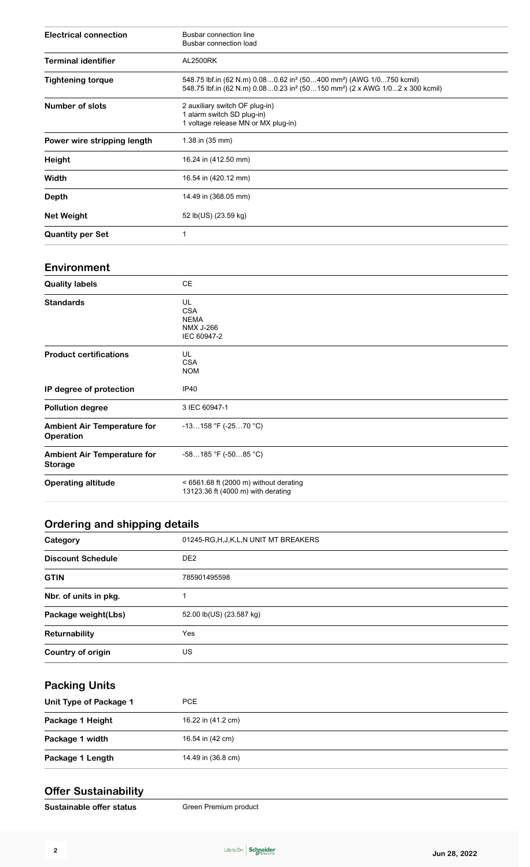| <b>Electrical connection</b> | Busbar connection line<br>Busbar connection load                                                                                                                                                   |
|------------------------------|----------------------------------------------------------------------------------------------------------------------------------------------------------------------------------------------------|
| <b>Terminal identifier</b>   | <b>AL2500RK</b>                                                                                                                                                                                    |
| <b>Tightening torque</b>     | 548.75 lbf.in (62 N.m) 0.080.62 in <sup>2</sup> (50400 mm <sup>2</sup> ) (AWG 1/0750 kcmil)<br>548.75 lbf.in (62 N.m) 0.080.23 in <sup>2</sup> (50150 mm <sup>2</sup> ) (2 x AWG 1/02 x 300 kcmil) |
| Number of slots              | 2 auxiliary switch OF plug-in)<br>1 alarm switch SD plug-in)<br>1 voltage release MN or MX plug-in)                                                                                                |
| Power wire stripping length  | 1.38 in (35 mm)                                                                                                                                                                                    |
| <b>Height</b>                | 16.24 in (412.50 mm)                                                                                                                                                                               |
| Width                        | 16.54 in (420.12 mm)                                                                                                                                                                               |
| Depth                        | 14.49 in (368.05 mm)                                                                                                                                                                               |
| <b>Net Weight</b>            | 52 lb(US) (23.59 kg)                                                                                                                                                                               |
| <b>Quantity per Set</b>      | 1                                                                                                                                                                                                  |

#### **Environment**

| <b>Quality labels</b>                                  | СE                                                                             |
|--------------------------------------------------------|--------------------------------------------------------------------------------|
| <b>Standards</b>                                       | UL<br><b>CSA</b><br><b>NEMA</b><br><b>NMX J-266</b><br>IEC 60947-2             |
| <b>Product certifications</b>                          | UL<br><b>CSA</b><br><b>NOM</b>                                                 |
| IP degree of protection                                | <b>IP40</b>                                                                    |
| <b>Pollution degree</b>                                | 3 IEC 60947-1                                                                  |
| <b>Ambient Air Temperature for</b><br><b>Operation</b> | $-13158$ °F (-2570 °C)                                                         |
| <b>Ambient Air Temperature for</b><br><b>Storage</b>   | $-58185$ °F ( $-5085$ °C)                                                      |
| <b>Operating altitude</b>                              | $<$ 6561.68 ft (2000 m) without derating<br>13123.36 ft (4000 m) with derating |

## **Ordering and shipping details**

| Category                 | 01245-RG, H, J, K, L, N UNIT MT BREAKERS |
|--------------------------|------------------------------------------|
| <b>Discount Schedule</b> | DE <sub>2</sub>                          |
| <b>GTIN</b>              | 785901495598                             |
| Nbr. of units in pkg.    |                                          |
| Package weight(Lbs)      | 52.00 lb(US) (23.587 kg)                 |
| Returnability            | Yes                                      |
| Country of origin        | US.                                      |

#### **Packing Units**

| Unit Type of Package 1 | PCE                |
|------------------------|--------------------|
| Package 1 Height       | 16.22 in (41.2 cm) |
| Package 1 width        | 16.54 in (42 cm)   |
| Package 1 Length       | 14.49 in (36.8 cm) |
|                        |                    |

#### **Offer Sustainability**

**Sustainable offer status** Green Premium product